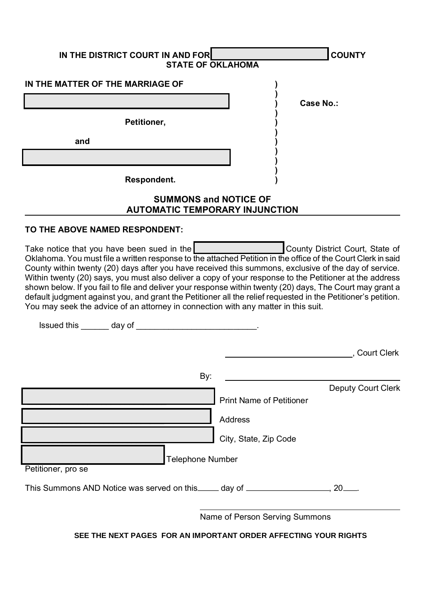| IN THE DISTRICT COURT IN AND FOR                                                                                                                                                                                                                                                                                                                                                                                                                                                                                                                                                                                                                                                                   | <b>STATE OF OKLAHOMA</b>                                                          | <b>COUNTY</b>                   |
|----------------------------------------------------------------------------------------------------------------------------------------------------------------------------------------------------------------------------------------------------------------------------------------------------------------------------------------------------------------------------------------------------------------------------------------------------------------------------------------------------------------------------------------------------------------------------------------------------------------------------------------------------------------------------------------------------|-----------------------------------------------------------------------------------|---------------------------------|
| IN THE MATTER OF THE MARRIAGE OF                                                                                                                                                                                                                                                                                                                                                                                                                                                                                                                                                                                                                                                                   |                                                                                   |                                 |
|                                                                                                                                                                                                                                                                                                                                                                                                                                                                                                                                                                                                                                                                                                    |                                                                                   | Case No.:                       |
| Petitioner,                                                                                                                                                                                                                                                                                                                                                                                                                                                                                                                                                                                                                                                                                        |                                                                                   |                                 |
| and                                                                                                                                                                                                                                                                                                                                                                                                                                                                                                                                                                                                                                                                                                |                                                                                   |                                 |
|                                                                                                                                                                                                                                                                                                                                                                                                                                                                                                                                                                                                                                                                                                    |                                                                                   |                                 |
| Respondent.                                                                                                                                                                                                                                                                                                                                                                                                                                                                                                                                                                                                                                                                                        |                                                                                   |                                 |
|                                                                                                                                                                                                                                                                                                                                                                                                                                                                                                                                                                                                                                                                                                    | <b>SUMMONS and NOTICE OF</b><br><b>AUTOMATIC TEMPORARY INJUNCTION</b>             |                                 |
| TO THE ABOVE NAMED RESPONDENT:                                                                                                                                                                                                                                                                                                                                                                                                                                                                                                                                                                                                                                                                     |                                                                                   |                                 |
| Take notice that you have been sued in the<br>Oklahoma. You must file a written response to the attached Petition in the office of the Court Clerk in said<br>County within twenty (20) days after you have received this summons, exclusive of the day of service.<br>Within twenty (20) says, you must also deliver a copy of your response to the Petitioner at the address<br>shown below. If you fail to file and deliver your response within twenty (20) days, The Court may grant a<br>default judgment against you, and grant the Petitioner all the relief requested in the Petitioner's petition.<br>You may seek the advice of an attorney in connection with any matter in this suit. |                                                                                   | County District Court, State of |
|                                                                                                                                                                                                                                                                                                                                                                                                                                                                                                                                                                                                                                                                                                    |                                                                                   | , Court Clerk                   |
|                                                                                                                                                                                                                                                                                                                                                                                                                                                                                                                                                                                                                                                                                                    | By:<br><b>Print Name of Petitioner</b><br><b>Address</b><br>City, State, Zip Code | <b>Deputy Court Clerk</b>       |
| Petitioner, pro se                                                                                                                                                                                                                                                                                                                                                                                                                                                                                                                                                                                                                                                                                 | <b>Telephone Number</b>                                                           |                                 |
| This Summons AND Notice was served on this _____ day of ________________________                                                                                                                                                                                                                                                                                                                                                                                                                                                                                                                                                                                                                   |                                                                                   | _. 20____.                      |
|                                                                                                                                                                                                                                                                                                                                                                                                                                                                                                                                                                                                                                                                                                    | Name of Person Serving Summons                                                    |                                 |

SEE THE NEXT PAGES FOR AN IMPORTANT ORDER AFFECTING YOUR RIGHTS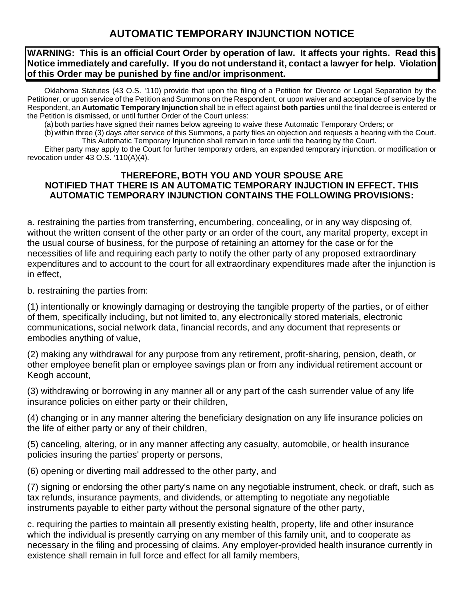## **AUTOMATIC TEMPORARY INJUNCTION NOTICE**

## **WARNING: This is an official Court Order by operation of law. It affects your rights. Read this Notice immediately and carefully. If you do not understand it, contact a lawyer for help. Violation of this Order may be punished by fine and/or imprisonment.**

Oklahoma Statutes (43 O.S. '110) provide that upon the filing of a Petition for Divorce or Legal Separation by the Petitioner, or upon service of the Petition and Summons on the Respondent, or upon waiver and acceptance of service by the Respondent, an **Automatic Temporary Injunction** shall be in effect against **both parties** until the final decree is entered or the Petition is dismissed, or until further Order of the Court unless:

(a)both parties have signed their names below agreeing to waive these Automatic Temporary Orders; or

(b)within three (3) days after service of this Summons, a party files an objection and requests a hearing with the Court. This Automatic Temporary Injunction shall remain in force until the hearing by the Court.

Either party may apply to the Court for further temporary orders, an expanded temporary injunction, or modification or revocation under 43 O.S. '110(A)(4).

## **THEREFORE, BOTH YOU AND YOUR SPOUSE ARE NOTIFIED THAT THERE IS AN AUTOMATIC TEMPORARY INJUCTION IN EFFECT. THIS AUTOMATIC TEMPORARY INJUNCTION CONTAINS THE FOLLOWING PROVISIONS:**

a. restraining the parties from transferring, encumbering, concealing, or in any way disposing of, without the written consent of the other party or an order of the court, any marital property, except in the usual course of business, for the purpose of retaining an attorney for the case or for the necessities of life and requiring each party to notify the other party of any proposed extraordinary expenditures and to account to the court for all extraordinary expenditures made after the injunction is in effect,

b. restraining the parties from:

(1) intentionally or knowingly damaging or destroying the tangible property of the parties, or of either of them, specifically including, but not limited to, any electronically stored materials, electronic communications, social network data, financial records, and any document that represents or embodies anything of value,

(2) making any withdrawal for any purpose from any retirement, profit-sharing, pension, death, or other employee benefit plan or employee savings plan or from any individual retirement account or Keogh account,

(3) withdrawing or borrowing in any manner all or any part of the cash surrender value of any life insurance policies on either party or their children,

(4) changing or in any manner altering the beneficiary designation on any life insurance policies on the life of either party or any of their children,

(5) canceling, altering, or in any manner affecting any casualty, automobile, or health insurance policies insuring the parties' property or persons,

(6) opening or diverting mail addressed to the other party, and

(7) signing or endorsing the other party's name on any negotiable instrument, check, or draft, such as tax refunds, insurance payments, and dividends, or attempting to negotiate any negotiable instruments payable to either party without the personal signature of the other party,

c. requiring the parties to maintain all presently existing health, property, life and other insurance which the individual is presently carrying on any member of this family unit, and to cooperate as necessary in the filing and processing of claims. Any employer-provided health insurance currently in existence shall remain in full force and effect for all family members,